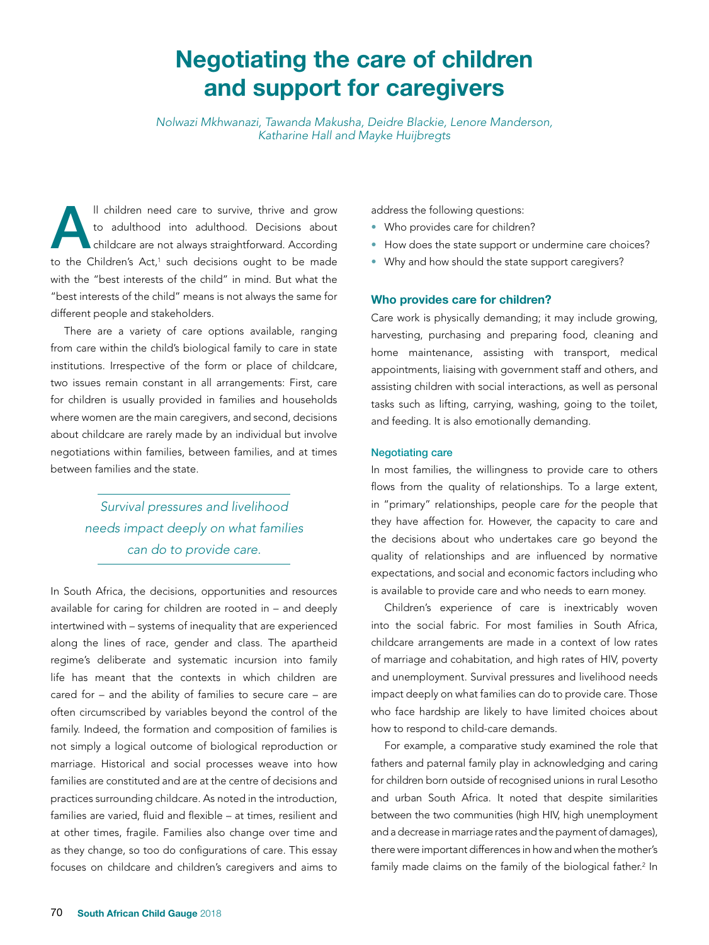# Negotiating the care of children and support for caregivers

*Nolwazi Mkhwanazi, Tawanda Makusha, Deidre Blackie, Lenore Manderson, Katharine Hall and Mayke Huijbregts* 

Il children need care to survive, thrive and grow<br>to adulthood into adulthood. Decisions about<br>childcare are not always straightforward. According to adulthood into adulthood. Decisions about childcare are not always straightforward. According to the Children's Act,<sup>1</sup> such decisions ought to be made with the "best interests of the child" in mind. But what the "best interests of the child" means is not always the same for different people and stakeholders.

There are a variety of care options available, ranging from care within the child's biological family to care in state institutions. Irrespective of the form or place of childcare, two issues remain constant in all arrangements: First, care for children is usually provided in families and households where women are the main caregivers, and second, decisions about childcare are rarely made by an individual but involve negotiations within families, between families, and at times between families and the state.

> *Survival pressures and livelihood needs impact deeply on what families can do to provide care.*

In South Africa, the decisions, opportunities and resources available for caring for children are rooted in – and deeply intertwined with – systems of inequality that are experienced along the lines of race, gender and class. The apartheid regime's deliberate and systematic incursion into family life has meant that the contexts in which children are cared for – and the ability of families to secure care – are often circumscribed by variables beyond the control of the family. Indeed, the formation and composition of families is not simply a logical outcome of biological reproduction or marriage. Historical and social processes weave into how families are constituted and are at the centre of decisions and practices surrounding childcare. As noted in the introduction, families are varied, fluid and flexible – at times, resilient and at other times, fragile. Families also change over time and as they change, so too do configurations of care. This essay focuses on childcare and children's caregivers and aims to

address the following questions:

- Who provides care for children?
- How does the state support or undermine care choices?
- Why and how should the state support caregivers?

#### Who provides care for children?

Care work is physically demanding; it may include growing, harvesting, purchasing and preparing food, cleaning and home maintenance, assisting with transport, medical appointments, liaising with government staff and others, and assisting children with social interactions, as well as personal tasks such as lifting, carrying, washing, going to the toilet, and feeding. It is also emotionally demanding.

#### Negotiating care

In most families, the willingness to provide care to others flows from the quality of relationships. To a large extent, in "primary" relationships, people care *for* the people that they have affection for. However, the capacity to care and the decisions about who undertakes care go beyond the quality of relationships and are influenced by normative expectations, and social and economic factors including who is available to provide care and who needs to earn money.

Children's experience of care is inextricably woven into the social fabric. For most families in South Africa, childcare arrangements are made in a context of low rates of marriage and cohabitation, and high rates of HIV, poverty and unemployment. Survival pressures and livelihood needs impact deeply on what families can do to provide care. Those who face hardship are likely to have limited choices about how to respond to child-care demands.

For example, a comparative study examined the role that fathers and paternal family play in acknowledging and caring for children born outside of recognised unions in rural Lesotho and urban South Africa. It noted that despite similarities between the two communities (high HIV, high unemployment and a decrease in marriage rates and the payment of damages), there were important differences in how and when the mother's family made claims on the family of the biological father.<sup>2</sup> In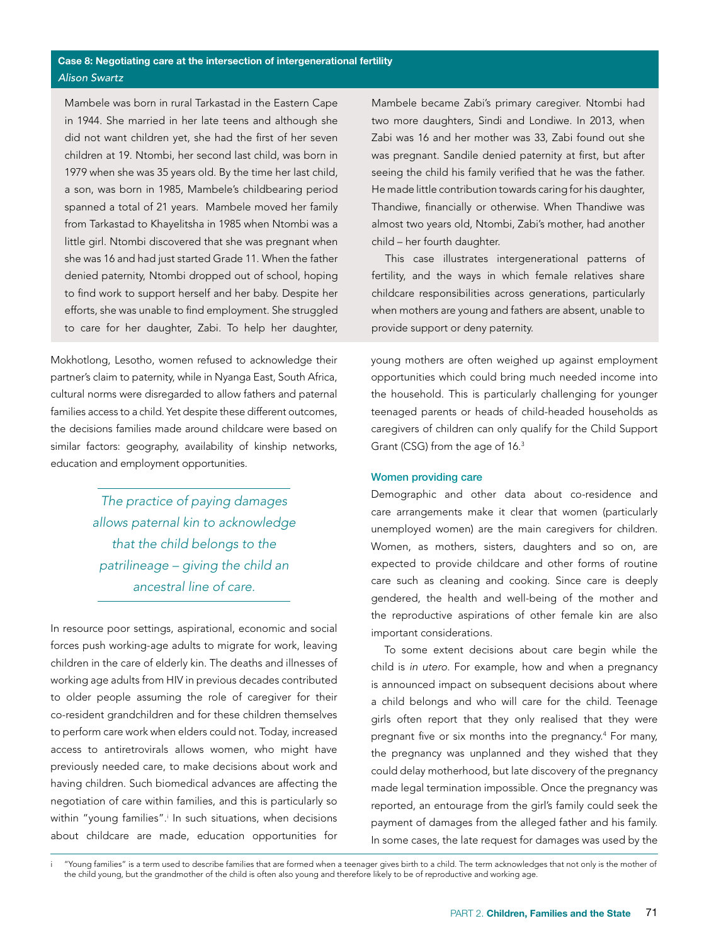Mambele was born in rural Tarkastad in the Eastern Cape in 1944. She married in her late teens and although she did not want children yet, she had the first of her seven children at 19. Ntombi, her second last child, was born in 1979 when she was 35 years old. By the time her last child, a son, was born in 1985, Mambele's childbearing period spanned a total of 21 years. Mambele moved her family from Tarkastad to Khayelitsha in 1985 when Ntombi was a little girl. Ntombi discovered that she was pregnant when she was 16 and had just started Grade 11. When the father denied paternity, Ntombi dropped out of school, hoping to find work to support herself and her baby. Despite her efforts, she was unable to find employment. She struggled to care for her daughter, Zabi. To help her daughter,

Mokhotlong, Lesotho, women refused to acknowledge their partner's claim to paternity, while in Nyanga East, South Africa, cultural norms were disregarded to allow fathers and paternal families access to a child. Yet despite these different outcomes, the decisions families made around childcare were based on similar factors: geography, availability of kinship networks, education and employment opportunities.

> *The practice of paying damages allows paternal kin to acknowledge that the child belongs to the patrilineage – giving the child an ancestral line of care.*

In resource poor settings, aspirational, economic and social forces push working-age adults to migrate for work, leaving children in the care of elderly kin. The deaths and illnesses of working age adults from HIV in previous decades contributed to older people assuming the role of caregiver for their co-resident grandchildren and for these children themselves to perform care work when elders could not. Today, increased access to antiretrovirals allows women, who might have previously needed care, to make decisions about work and having children. Such biomedical advances are affecting the negotiation of care within families, and this is particularly so within "young families".<sup>i</sup> In such situations, when decisions about childcare are made, education opportunities for

Mambele became Zabi's primary caregiver. Ntombi had two more daughters, Sindi and Londiwe. In 2013, when Zabi was 16 and her mother was 33, Zabi found out she was pregnant. Sandile denied paternity at first, but after seeing the child his family verified that he was the father. He made little contribution towards caring for his daughter, Thandiwe, financially or otherwise. When Thandiwe was almost two years old, Ntombi, Zabi's mother, had another child – her fourth daughter.

This case illustrates intergenerational patterns of fertility, and the ways in which female relatives share childcare responsibilities across generations, particularly when mothers are young and fathers are absent, unable to provide support or deny paternity.

young mothers are often weighed up against employment opportunities which could bring much needed income into the household. This is particularly challenging for younger teenaged parents or heads of child-headed households as caregivers of children can only qualify for the Child Support Grant (CSG) from the age of 16.3

#### Women providing care

Demographic and other data about co-residence and care arrangements make it clear that women (particularly unemployed women) are the main caregivers for children. Women, as mothers, sisters, daughters and so on, are expected to provide childcare and other forms of routine care such as cleaning and cooking. Since care is deeply gendered, the health and well-being of the mother and the reproductive aspirations of other female kin are also important considerations.

To some extent decisions about care begin while the child is *in utero*. For example, how and when a pregnancy is announced impact on subsequent decisions about where a child belongs and who will care for the child. Teenage girls often report that they only realised that they were pregnant five or six months into the pregnancy.4 For many, the pregnancy was unplanned and they wished that they could delay motherhood, but late discovery of the pregnancy made legal termination impossible. Once the pregnancy was reported, an entourage from the girl's family could seek the payment of damages from the alleged father and his family. In some cases, the late request for damages was used by the

i "Young families" is a term used to describe families that are formed when a teenager gives birth to a child. The term acknowledges that not only is the mother of the child young, but the grandmother of the child is often also young and therefore likely to be of reproductive and working age.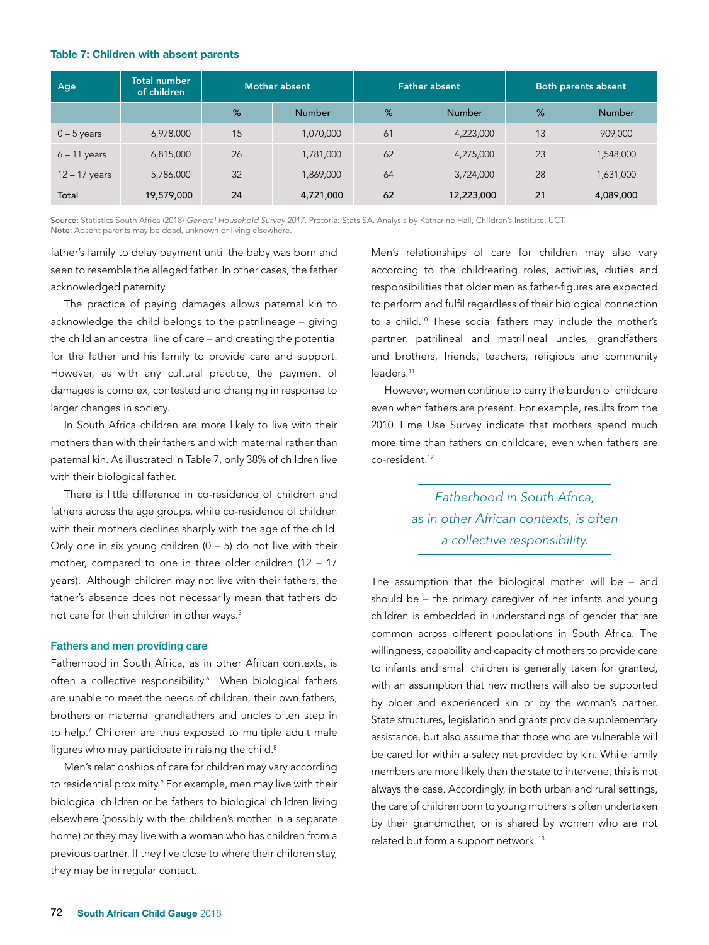#### Table 7: Children with absent parents

| Age             | Total number<br>of children | Mother absent |               | <b>Father absent</b> |               | Both parents absent |               |
|-----------------|-----------------------------|---------------|---------------|----------------------|---------------|---------------------|---------------|
|                 |                             | %             | <b>Number</b> | %                    | <b>Number</b> | %                   | <b>Number</b> |
| $0 - 5$ years   | 6,978,000                   | 15            | 1,070,000     | 61                   | 4,223,000     | 13                  | 909,000       |
| $6 - 11$ years  | 6,815,000                   | 26            | 1,781,000     | 62                   | 4,275,000     | 23                  | 1,548,000     |
| $12 - 17$ years | 5,786,000                   | 32            | 1,869,000     | 64                   | 3,724,000     | 28                  | 1,631,000     |
| Total           | 19,579,000                  | 24            | 4,721,000     | 62                   | 12,223,000    | 21                  | 4,089,000     |

Source: Statistics South Africa (2018) *General Household Survey 2017.* Pretoria: Stats SA. Analysis by Katharine Hall, Children's Institute, UCT. Note: Absent parents may be dead, unknown or living elsewhere.

father's family to delay payment until the baby was born and seen to resemble the alleged father. In other cases, the father acknowledged paternity.

The practice of paying damages allows paternal kin to acknowledge the child belongs to the patrilineage – giving the child an ancestral line of care – and creating the potential for the father and his family to provide care and support. However, as with any cultural practice, the payment of damages is complex, contested and changing in response to larger changes in society.

In South Africa children are more likely to live with their mothers than with their fathers and with maternal rather than paternal kin. As illustrated in Table 7, only 38% of children live with their biological father.

There is little difference in co-residence of children and fathers across the age groups, while co-residence of children with their mothers declines sharply with the age of the child. Only one in six young children  $(0 - 5)$  do not live with their mother, compared to one in three older children (12 – 17 years). Although children may not live with their fathers, the father's absence does not necessarily mean that fathers do not care for their children in other ways.<sup>5</sup>

#### Fathers and men providing care

Fatherhood in South Africa, as in other African contexts, is often a collective responsibility.<sup>6</sup> When biological fathers are unable to meet the needs of children, their own fathers, brothers or maternal grandfathers and uncles often step in to help.7 Children are thus exposed to multiple adult male figures who may participate in raising the child.<sup>8</sup>

Men's relationships of care for children may vary according to residential proximity.<sup>9</sup> For example, men may live with their biological children or be fathers to biological children living elsewhere (possibly with the children's mother in a separate home) or they may live with a woman who has children from a previous partner. If they live close to where their children stay, they may be in regular contact.

Men's relationships of care for children may also vary according to the childrearing roles, activities, duties and responsibilities that older men as father-figures are expected to perform and fulfil regardless of their biological connection to a child.10 These social fathers may include the mother's partner, patrilineal and matrilineal uncles, grandfathers and brothers, friends, teachers, religious and community leaders<sup>11</sup>

However, women continue to carry the burden of childcare even when fathers are present. For example, results from the 2010 Time Use Survey indicate that mothers spend much more time than fathers on childcare, even when fathers are co-resident.12

> *Fatherhood in South Africa, as in other African contexts, is often a collective responsibility.*

The assumption that the biological mother will be – and should be – the primary caregiver of her infants and young children is embedded in understandings of gender that are common across different populations in South Africa. The willingness, capability and capacity of mothers to provide care to infants and small children is generally taken for granted, with an assumption that new mothers will also be supported by older and experienced kin or by the woman's partner. State structures, legislation and grants provide supplementary assistance, but also assume that those who are vulnerable will be cared for within a safety net provided by kin. While family members are more likely than the state to intervene, this is not always the case. Accordingly, in both urban and rural settings, the care of children born to young mothers is often undertaken by their grandmother, or is shared by women who are not related but form a support network. 13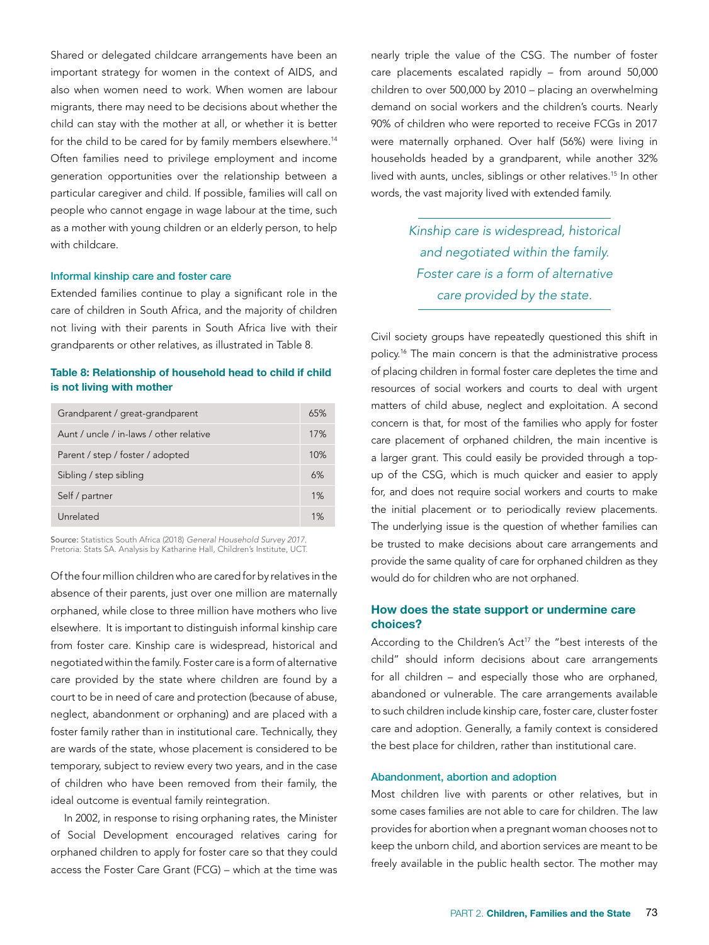Shared or delegated childcare arrangements have been an important strategy for women in the context of AIDS, and also when women need to work. When women are labour migrants, there may need to be decisions about whether the child can stay with the mother at all, or whether it is better for the child to be cared for by family members elsewhere.<sup>14</sup> Often families need to privilege employment and income generation opportunities over the relationship between a particular caregiver and child. If possible, families will call on people who cannot engage in wage labour at the time, such as a mother with young children or an elderly person, to help with childcare.

### Informal kinship care and foster care

Extended families continue to play a significant role in the care of children in South Africa, and the majority of children not living with their parents in South Africa live with their grandparents or other relatives, as illustrated in Table 8.

## Table 8: Relationship of household head to child if child is not living with mother

| Grandparent / great-grandparent         |  |  |
|-----------------------------------------|--|--|
| Aunt / uncle / in-laws / other relative |  |  |
| Parent / step / foster / adopted        |  |  |
| Sibling / step sibling                  |  |  |
| Self / partner                          |  |  |
| Unrelated                               |  |  |

Source: Statistics South Africa (2018) *General Household Survey 2017.* Pretoria: Stats SA. Analysis by Katharine Hall, Children's Institute, UCT.

Of the four million children who are cared for by relatives in the absence of their parents, just over one million are maternally orphaned, while close to three million have mothers who live elsewhere. It is important to distinguish informal kinship care from foster care. Kinship care is widespread, historical and negotiated within the family. Foster care is a form of alternative care provided by the state where children are found by a court to be in need of care and protection (because of abuse, neglect, abandonment or orphaning) and are placed with a foster family rather than in institutional care. Technically, they are wards of the state, whose placement is considered to be temporary, subject to review every two years, and in the case of children who have been removed from their family, the ideal outcome is eventual family reintegration.

In 2002, in response to rising orphaning rates, the Minister of Social Development encouraged relatives caring for orphaned children to apply for foster care so that they could access the Foster Care Grant (FCG) – which at the time was nearly triple the value of the CSG. The number of foster care placements escalated rapidly – from around 50,000 children to over 500,000 by 2010 – placing an overwhelming demand on social workers and the children's courts. Nearly 90% of children who were reported to receive FCGs in 2017 were maternally orphaned. Over half (56%) were living in households headed by a grandparent, while another 32% lived with aunts, uncles, siblings or other relatives.<sup>15</sup> In other words, the vast majority lived with extended family.

> *Kinship care is widespread, historical and negotiated within the family. Foster care is a form of alternative care provided by the state.*

Civil society groups have repeatedly questioned this shift in policy.16 The main concern is that the administrative process of placing children in formal foster care depletes the time and resources of social workers and courts to deal with urgent matters of child abuse, neglect and exploitation. A second concern is that, for most of the families who apply for foster care placement of orphaned children, the main incentive is a larger grant. This could easily be provided through a topup of the CSG, which is much quicker and easier to apply for, and does not require social workers and courts to make the initial placement or to periodically review placements. The underlying issue is the question of whether families can be trusted to make decisions about care arrangements and provide the same quality of care for orphaned children as they would do for children who are not orphaned.

# How does the state support or undermine care choices?

According to the Children's Act<sup>17</sup> the "best interests of the child" should inform decisions about care arrangements for all children – and especially those who are orphaned, abandoned or vulnerable. The care arrangements available to such children include kinship care, foster care, cluster foster care and adoption. Generally, a family context is considered the best place for children, rather than institutional care.

#### Abandonment, abortion and adoption

Most children live with parents or other relatives, but in some cases families are not able to care for children. The law provides for abortion when a pregnant woman chooses not to keep the unborn child, and abortion services are meant to be freely available in the public health sector. The mother may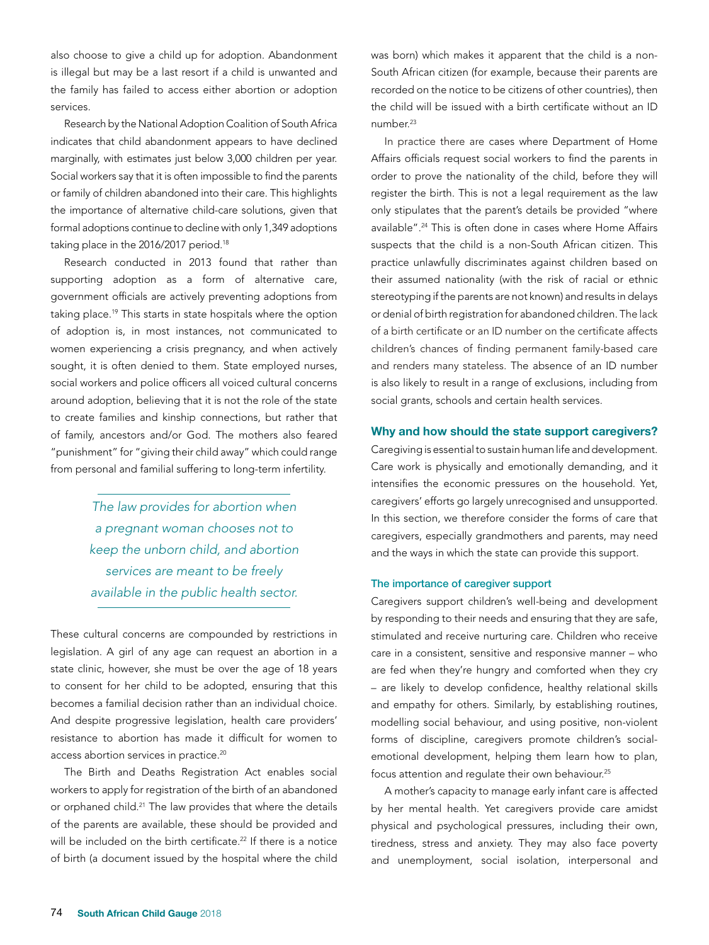also choose to give a child up for adoption. Abandonment is illegal but may be a last resort if a child is unwanted and the family has failed to access either abortion or adoption services.

Research by the National Adoption Coalition of South Africa indicates that child abandonment appears to have declined marginally, with estimates just below 3,000 children per year. Social workers say that it is often impossible to find the parents or family of children abandoned into their care. This highlights the importance of alternative child-care solutions, given that formal adoptions continue to decline with only 1,349 adoptions taking place in the 2016/2017 period.<sup>18</sup>

Research conducted in 2013 found that rather than supporting adoption as a form of alternative care, government officials are actively preventing adoptions from taking place.<sup>19</sup> This starts in state hospitals where the option of adoption is, in most instances, not communicated to women experiencing a crisis pregnancy, and when actively sought, it is often denied to them. State employed nurses, social workers and police officers all voiced cultural concerns around adoption, believing that it is not the role of the state to create families and kinship connections, but rather that of family, ancestors and/or God. The mothers also feared "punishment" for "giving their child away" which could range from personal and familial suffering to long-term infertility.

> *The law provides for abortion when a pregnant woman chooses not to keep the unborn child, and abortion services are meant to be freely available in the public health sector.*

These cultural concerns are compounded by restrictions in legislation. A girl of any age can request an abortion in a state clinic, however, she must be over the age of 18 years to consent for her child to be adopted, ensuring that this becomes a familial decision rather than an individual choice. And despite progressive legislation, health care providers' resistance to abortion has made it difficult for women to access abortion services in practice.20

The Birth and Deaths Registration Act enables social workers to apply for registration of the birth of an abandoned or orphaned child.<sup>21</sup> The law provides that where the details of the parents are available, these should be provided and will be included on the birth certificate.<sup>22</sup> If there is a notice of birth (a document issued by the hospital where the child was born) which makes it apparent that the child is a non-South African citizen (for example, because their parents are recorded on the notice to be citizens of other countries), then the child will be issued with a birth certificate without an ID number<sup>23</sup>

In practice there are cases where Department of Home Affairs officials request social workers to find the parents in order to prove the nationality of the child, before they will register the birth. This is not a legal requirement as the law only stipulates that the parent's details be provided "where available".24 This is often done in cases where Home Affairs suspects that the child is a non-South African citizen. This practice unlawfully discriminates against children based on their assumed nationality (with the risk of racial or ethnic stereotyping if the parents are not known) and results in delays or denial of birth registration for abandoned children. The lack of a birth certificate or an ID number on the certificate affects children's chances of finding permanent family-based care and renders many stateless. The absence of an ID number is also likely to result in a range of exclusions, including from social grants, schools and certain health services.

#### Why and how should the state support caregivers?

Caregiving is essential to sustain human life and development. Care work is physically and emotionally demanding, and it intensifies the economic pressures on the household. Yet, caregivers' efforts go largely unrecognised and unsupported. In this section, we therefore consider the forms of care that caregivers, especially grandmothers and parents, may need and the ways in which the state can provide this support.

## The importance of caregiver support

Caregivers support children's well-being and development by responding to their needs and ensuring that they are safe, stimulated and receive nurturing care. Children who receive care in a consistent, sensitive and responsive manner – who are fed when they're hungry and comforted when they cry – are likely to develop confidence, healthy relational skills and empathy for others. Similarly, by establishing routines, modelling social behaviour, and using positive, non-violent forms of discipline, caregivers promote children's socialemotional development, helping them learn how to plan, focus attention and regulate their own behaviour.25

A mother's capacity to manage early infant care is affected by her mental health. Yet caregivers provide care amidst physical and psychological pressures, including their own, tiredness, stress and anxiety. They may also face poverty and unemployment, social isolation, interpersonal and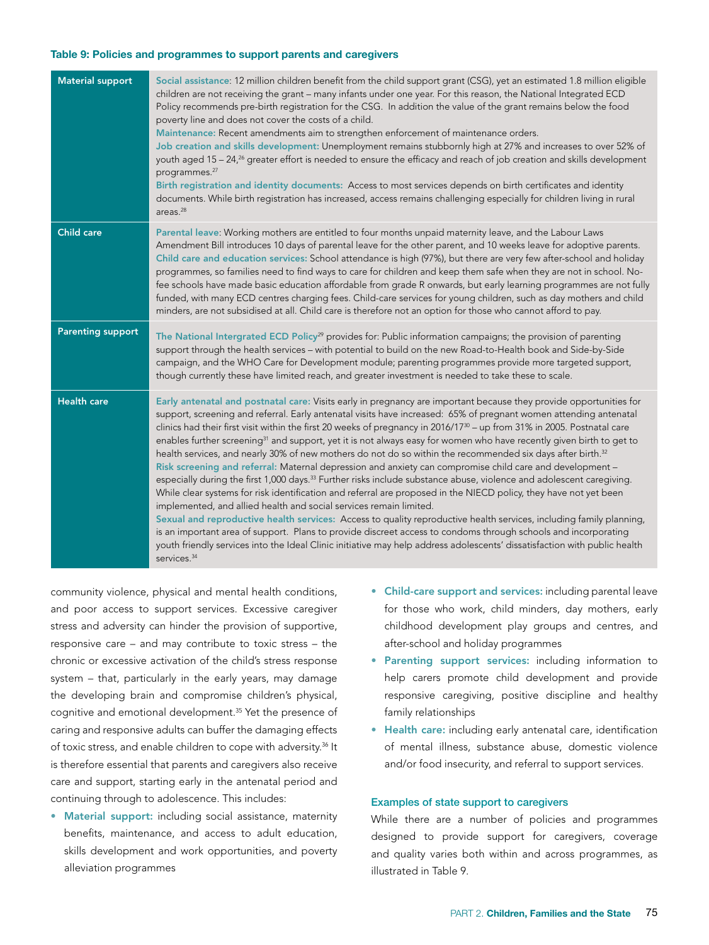#### Table 9: Policies and programmes to support parents and caregivers

| <b>Material support</b>  | Social assistance: 12 million children benefit from the child support grant (CSG), yet an estimated 1.8 million eligible<br>children are not receiving the grant - many infants under one year. For this reason, the National Integrated ECD<br>Policy recommends pre-birth registration for the CSG. In addition the value of the grant remains below the food<br>poverty line and does not cover the costs of a child.<br>Maintenance: Recent amendments aim to strengthen enforcement of maintenance orders.<br>Job creation and skills development: Unemployment remains stubbornly high at 27% and increases to over 52% of<br>youth aged 15 - 24, <sup>26</sup> greater effort is needed to ensure the efficacy and reach of job creation and skills development<br>programmes. <sup>27</sup><br>Birth registration and identity documents: Access to most services depends on birth certificates and identity<br>documents. While birth registration has increased, access remains challenging especially for children living in rural<br>areas. $^{28}$                                                                                                                                                                                                                                                                                                                                                                                                                          |
|--------------------------|------------------------------------------------------------------------------------------------------------------------------------------------------------------------------------------------------------------------------------------------------------------------------------------------------------------------------------------------------------------------------------------------------------------------------------------------------------------------------------------------------------------------------------------------------------------------------------------------------------------------------------------------------------------------------------------------------------------------------------------------------------------------------------------------------------------------------------------------------------------------------------------------------------------------------------------------------------------------------------------------------------------------------------------------------------------------------------------------------------------------------------------------------------------------------------------------------------------------------------------------------------------------------------------------------------------------------------------------------------------------------------------------------------------------------------------------------------------------------------------|
| <b>Child care</b>        | Parental leave: Working mothers are entitled to four months unpaid maternity leave, and the Labour Laws<br>Amendment Bill introduces 10 days of parental leave for the other parent, and 10 weeks leave for adoptive parents.<br>Child care and education services: School attendance is high (97%), but there are very few after-school and holiday<br>programmes, so families need to find ways to care for children and keep them safe when they are not in school. No-<br>fee schools have made basic education affordable from grade R onwards, but early learning programmes are not fully<br>funded, with many ECD centres charging fees. Child-care services for young children, such as day mothers and child<br>minders, are not subsidised at all. Child care is therefore not an option for those who cannot afford to pay.                                                                                                                                                                                                                                                                                                                                                                                                                                                                                                                                                                                                                                                  |
| <b>Parenting support</b> | The National Intergrated ECD Policy <sup>29</sup> provides for: Public information campaigns; the provision of parenting<br>support through the health services - with potential to build on the new Road-to-Health book and Side-by-Side<br>campaign, and the WHO Care for Development module; parenting programmes provide more targeted support,<br>though currently these have limited reach, and greater investment is needed to take these to scale.                                                                                                                                                                                                                                                                                                                                                                                                                                                                                                                                                                                                                                                                                                                                                                                                                                                                                                                                                                                                                               |
| <b>Health care</b>       | Early antenatal and postnatal care: Visits early in pregnancy are important because they provide opportunities for<br>support, screening and referral. Early antenatal visits have increased: 65% of pregnant women attending antenatal<br>clinics had their first visit within the first 20 weeks of pregnancy in 2016/17 <sup>30</sup> - up from 31% in 2005. Postnatal care<br>enables further screening <sup>31</sup> and support, yet it is not always easy for women who have recently given birth to get to<br>health services, and nearly 30% of new mothers do not do so within the recommended six days after birth. <sup>32</sup><br>Risk screening and referral: Maternal depression and anxiety can compromise child care and development -<br>especially during the first 1,000 days. <sup>33</sup> Further risks include substance abuse, violence and adolescent caregiving.<br>While clear systems for risk identification and referral are proposed in the NIECD policy, they have not yet been<br>implemented, and allied health and social services remain limited.<br>Sexual and reproductive health services: Access to quality reproductive health services, including family planning,<br>is an important area of support. Plans to provide discreet access to condoms through schools and incorporating<br>youth friendly services into the Ideal Clinic initiative may help address adolescents' dissatisfaction with public health<br>services. <sup>34</sup> |

community violence, physical and mental health conditions, and poor access to support services. Excessive caregiver stress and adversity can hinder the provision of supportive, responsive care – and may contribute to toxic stress – the chronic or excessive activation of the child's stress response system – that, particularly in the early years, may damage the developing brain and compromise children's physical, cognitive and emotional development.35 Yet the presence of caring and responsive adults can buffer the damaging effects of toxic stress, and enable children to cope with adversity.<sup>36</sup> It is therefore essential that parents and caregivers also receive care and support, starting early in the antenatal period and continuing through to adolescence. This includes:

• Material support: including social assistance, maternity benefits, maintenance, and access to adult education, skills development and work opportunities, and poverty alleviation programmes

- Child-care support and services: including parental leave for those who work, child minders, day mothers, early childhood development play groups and centres, and after-school and holiday programmes
- Parenting support services: including information to help carers promote child development and provide responsive caregiving, positive discipline and healthy family relationships
- Health care: including early antenatal care, identification of mental illness, substance abuse, domestic violence and/or food insecurity, and referral to support services.

#### Examples of state support to caregivers

While there are a number of policies and programmes designed to provide support for caregivers, coverage and quality varies both within and across programmes, as illustrated in Table 9.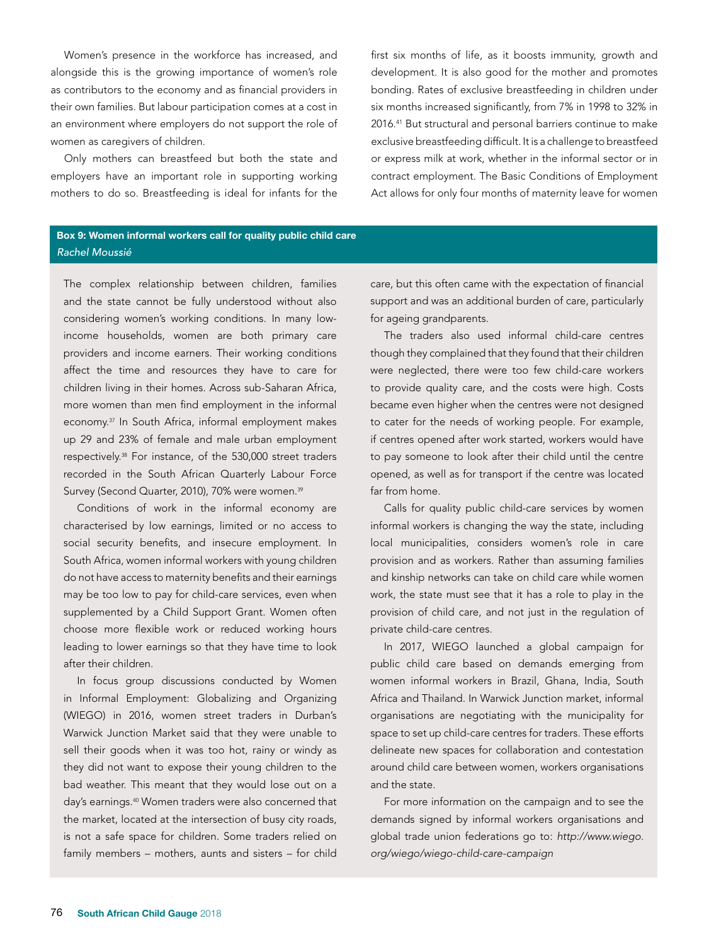Women's presence in the workforce has increased, and alongside this is the growing importance of women's role as contributors to the economy and as financial providers in their own families. But labour participation comes at a cost in an environment where employers do not support the role of women as caregivers of children.

Only mothers can breastfeed but both the state and employers have an important role in supporting working mothers to do so. Breastfeeding is ideal for infants for the

first six months of life, as it boosts immunity, growth and development. It is also good for the mother and promotes bonding. Rates of exclusive breastfeeding in children under six months increased significantly, from 7% in 1998 to 32% in 2016.41 But structural and personal barriers continue to make exclusive breastfeeding difficult. It is a challenge to breastfeed or express milk at work, whether in the informal sector or in contract employment. The Basic Conditions of Employment Act allows for only four months of maternity leave for women

# Box 9: Women informal workers call for quality public child care *Rachel Moussié*

The complex relationship between children, families and the state cannot be fully understood without also considering women's working conditions. In many lowincome households, women are both primary care providers and income earners. Their working conditions affect the time and resources they have to care for children living in their homes. Across sub-Saharan Africa, more women than men find employment in the informal economy.37 In South Africa, informal employment makes up 29 and 23% of female and male urban employment respectively.38 For instance, of the 530,000 street traders recorded in the South African Quarterly Labour Force Survey (Second Quarter, 2010), 70% were women.<sup>39</sup>

Conditions of work in the informal economy are characterised by low earnings, limited or no access to social security benefits, and insecure employment. In South Africa, women informal workers with young children do not have access to maternity benefits and their earnings may be too low to pay for child-care services, even when supplemented by a Child Support Grant. Women often choose more flexible work or reduced working hours leading to lower earnings so that they have time to look after their children.

In focus group discussions conducted by Women in Informal Employment: Globalizing and Organizing (WIEGO) in 2016, women street traders in Durban's Warwick Junction Market said that they were unable to sell their goods when it was too hot, rainy or windy as they did not want to expose their young children to the bad weather. This meant that they would lose out on a day's earnings.40 Women traders were also concerned that the market, located at the intersection of busy city roads, is not a safe space for children. Some traders relied on family members – mothers, aunts and sisters – for child

care, but this often came with the expectation of financial support and was an additional burden of care, particularly for ageing grandparents.

The traders also used informal child-care centres though they complained that they found that their children were neglected, there were too few child-care workers to provide quality care, and the costs were high. Costs became even higher when the centres were not designed to cater for the needs of working people. For example, if centres opened after work started, workers would have to pay someone to look after their child until the centre opened, as well as for transport if the centre was located far from home.

Calls for quality public child-care services by women informal workers is changing the way the state, including local municipalities, considers women's role in care provision and as workers. Rather than assuming families and kinship networks can take on child care while women work, the state must see that it has a role to play in the provision of child care, and not just in the regulation of private child-care centres.

In 2017, WIEGO launched a global campaign for public child care based on demands emerging from women informal workers in Brazil, Ghana, India, South Africa and Thailand. In Warwick Junction market, informal organisations are negotiating with the municipality for space to set up child-care centres for traders. These efforts delineate new spaces for collaboration and contestation around child care between women, workers organisations and the state.

For more information on the campaign and to see the demands signed by informal workers organisations and global trade union federations go to: *http://www.wiego. org/wiego/wiego-child-care-campaign*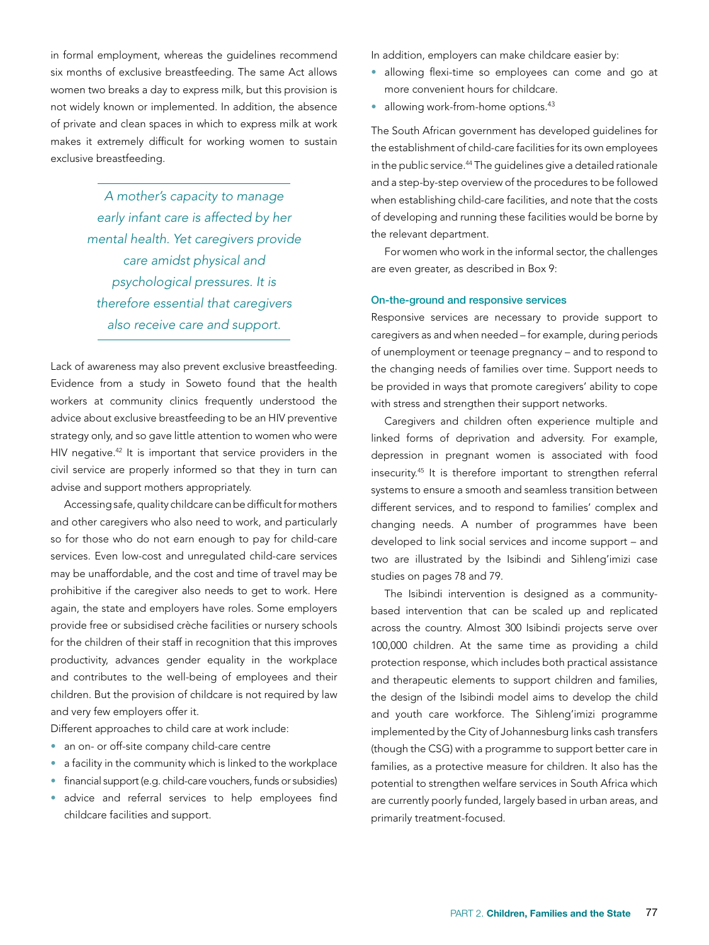in formal employment, whereas the guidelines recommend six months of exclusive breastfeeding. The same Act allows women two breaks a day to express milk, but this provision is not widely known or implemented. In addition, the absence of private and clean spaces in which to express milk at work makes it extremely difficult for working women to sustain exclusive breastfeeding.

> *A mother's capacity to manage early infant care is affected by her mental health. Yet caregivers provide care amidst physical and psychological pressures. It is therefore essential that caregivers also receive care and support.*

Lack of awareness may also prevent exclusive breastfeeding. Evidence from a study in Soweto found that the health workers at community clinics frequently understood the advice about exclusive breastfeeding to be an HIV preventive strategy only, and so gave little attention to women who were HIV negative.<sup>42</sup> It is important that service providers in the civil service are properly informed so that they in turn can advise and support mothers appropriately.

Accessing safe, quality childcare can be difficult for mothers and other caregivers who also need to work, and particularly so for those who do not earn enough to pay for child-care services. Even low-cost and unregulated child-care services may be unaffordable, and the cost and time of travel may be prohibitive if the caregiver also needs to get to work. Here again, the state and employers have roles. Some employers provide free or subsidised crèche facilities or nursery schools for the children of their staff in recognition that this improves productivity, advances gender equality in the workplace and contributes to the well-being of employees and their children. But the provision of childcare is not required by law and very few employers offer it.

Different approaches to child care at work include:

- an on- or off-site company child-care centre
- a facility in the community which is linked to the workplace
- financial support (e.g. child-care vouchers, funds or subsidies)
- advice and referral services to help employees find childcare facilities and support.

In addition, employers can make childcare easier by:

- allowing flexi-time so employees can come and go at more convenient hours for childcare.
- $\bullet$  allowing work-from-home options.<sup>43</sup>

The South African government has developed guidelines for the establishment of child-care facilities for its own employees in the public service.<sup>44</sup> The quidelines give a detailed rationale and a step-by-step overview of the procedures to be followed when establishing child-care facilities, and note that the costs of developing and running these facilities would be borne by the relevant department.

For women who work in the informal sector, the challenges are even greater, as described in Box 9:

#### On-the-ground and responsive services

Responsive services are necessary to provide support to caregivers as and when needed – for example, during periods of unemployment or teenage pregnancy – and to respond to the changing needs of families over time. Support needs to be provided in ways that promote caregivers' ability to cope with stress and strengthen their support networks.

Caregivers and children often experience multiple and linked forms of deprivation and adversity. For example, depression in pregnant women is associated with food insecurity.45 It is therefore important to strengthen referral systems to ensure a smooth and seamless transition between different services, and to respond to families' complex and changing needs. A number of programmes have been developed to link social services and income support – and two are illustrated by the Isibindi and Sihleng'imizi case studies on pages 78 and 79.

The Isibindi intervention is designed as a communitybased intervention that can be scaled up and replicated across the country. Almost 300 Isibindi projects serve over 100,000 children. At the same time as providing a child protection response, which includes both practical assistance and therapeutic elements to support children and families, the design of the Isibindi model aims to develop the child and youth care workforce. The Sihleng'imizi programme implemented by the City of Johannesburg links cash transfers (though the CSG) with a programme to support better care in families, as a protective measure for children. It also has the potential to strengthen welfare services in South Africa which are currently poorly funded, largely based in urban areas, and primarily treatment-focused.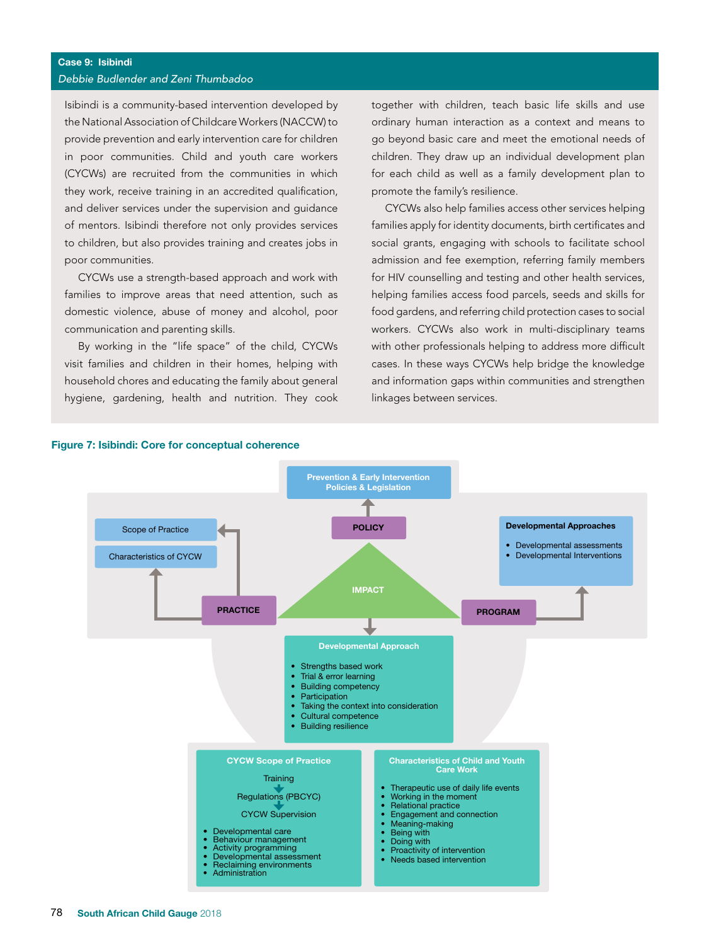Isibindi is a community-based intervention developed by the National Association of Childcare Workers (NACCW) to provide prevention and early intervention care for children in poor communities. Child and youth care workers (CYCWs) are recruited from the communities in which they work, receive training in an accredited qualification, and deliver services under the supervision and guidance of mentors. Isibindi therefore not only provides services to children, but also provides training and creates jobs in poor communities.

CYCWs use a strength-based approach and work with families to improve areas that need attention, such as domestic violence, abuse of money and alcohol, poor communication and parenting skills.

By working in the "life space" of the child, CYCWs visit families and children in their homes, helping with household chores and educating the family about general hygiene, gardening, health and nutrition. They cook together with children, teach basic life skills and use ordinary human interaction as a context and means to go beyond basic care and meet the emotional needs of children. They draw up an individual development plan for each child as well as a family development plan to promote the family's resilience.

CYCWs also help families access other services helping families apply for identity documents, birth certificates and social grants, engaging with schools to facilitate school admission and fee exemption, referring family members for HIV counselling and testing and other health services, helping families access food parcels, seeds and skills for food gardens, and referring child protection cases to social workers. CYCWs also work in multi-disciplinary teams with other professionals helping to address more difficult cases. In these ways CYCWs help bridge the knowledge and information gaps within communities and strengthen linkages between services.



#### Figure 7: Isibindi: Core for conceptual coherence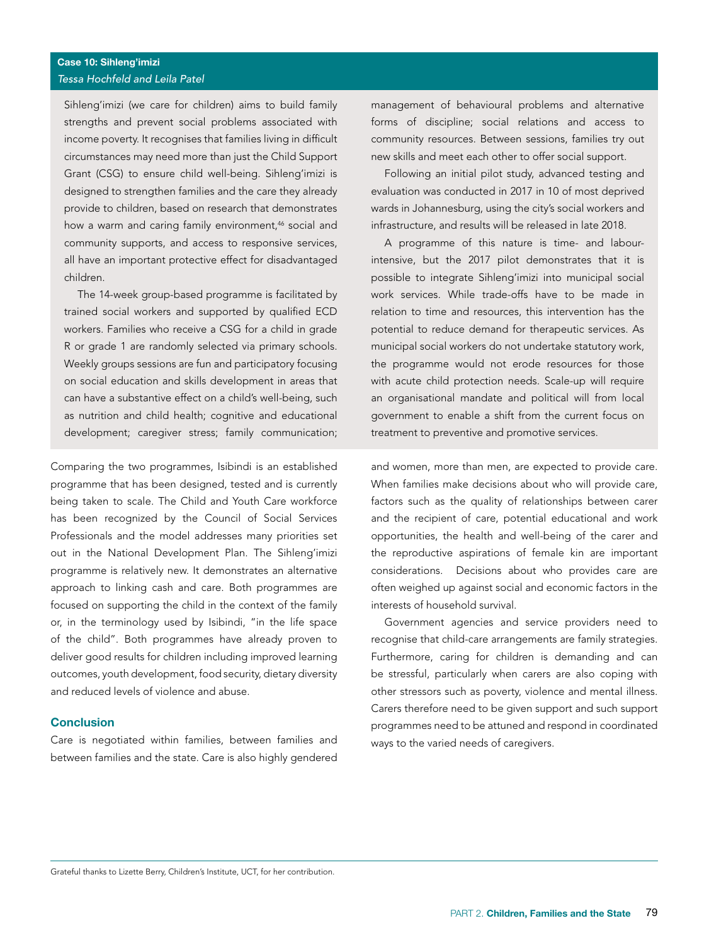Sihleng'imizi (we care for children) aims to build family strengths and prevent social problems associated with income poverty. It recognises that families living in difficult circumstances may need more than just the Child Support Grant (CSG) to ensure child well-being. Sihleng'imizi is designed to strengthen families and the care they already provide to children, based on research that demonstrates how a warm and caring family environment,<sup>46</sup> social and community supports, and access to responsive services, all have an important protective effect for disadvantaged children.

The 14-week group-based programme is facilitated by trained social workers and supported by qualified ECD workers. Families who receive a CSG for a child in grade R or grade 1 are randomly selected via primary schools. Weekly groups sessions are fun and participatory focusing on social education and skills development in areas that can have a substantive effect on a child's well-being, such as nutrition and child health; cognitive and educational development; caregiver stress; family communication;

Comparing the two programmes, Isibindi is an established programme that has been designed, tested and is currently being taken to scale. The Child and Youth Care workforce has been recognized by the Council of Social Services Professionals and the model addresses many priorities set out in the National Development Plan. The Sihleng'imizi programme is relatively new. It demonstrates an alternative approach to linking cash and care. Both programmes are focused on supporting the child in the context of the family or, in the terminology used by Isibindi, "in the life space of the child". Both programmes have already proven to deliver good results for children including improved learning outcomes, youth development, food security, dietary diversity and reduced levels of violence and abuse.

# Conclusion

Care is negotiated within families, between families and between families and the state. Care is also highly gendered

management of behavioural problems and alternative forms of discipline; social relations and access to community resources. Between sessions, families try out new skills and meet each other to offer social support.

Following an initial pilot study, advanced testing and evaluation was conducted in 2017 in 10 of most deprived wards in Johannesburg, using the city's social workers and infrastructure, and results will be released in late 2018.

A programme of this nature is time- and labourintensive, but the 2017 pilot demonstrates that it is possible to integrate Sihleng'imizi into municipal social work services. While trade-offs have to be made in relation to time and resources, this intervention has the potential to reduce demand for therapeutic services. As municipal social workers do not undertake statutory work, the programme would not erode resources for those with acute child protection needs. Scale-up will require an organisational mandate and political will from local government to enable a shift from the current focus on treatment to preventive and promotive services.

and women, more than men, are expected to provide care. When families make decisions about who will provide care, factors such as the quality of relationships between carer and the recipient of care, potential educational and work opportunities, the health and well-being of the carer and the reproductive aspirations of female kin are important considerations. Decisions about who provides care are often weighed up against social and economic factors in the interests of household survival.

Government agencies and service providers need to recognise that child-care arrangements are family strategies. Furthermore, caring for children is demanding and can be stressful, particularly when carers are also coping with other stressors such as poverty, violence and mental illness. Carers therefore need to be given support and such support programmes need to be attuned and respond in coordinated ways to the varied needs of caregivers.

Grateful thanks to Lizette Berry, Children's Institute, UCT, for her contribution.